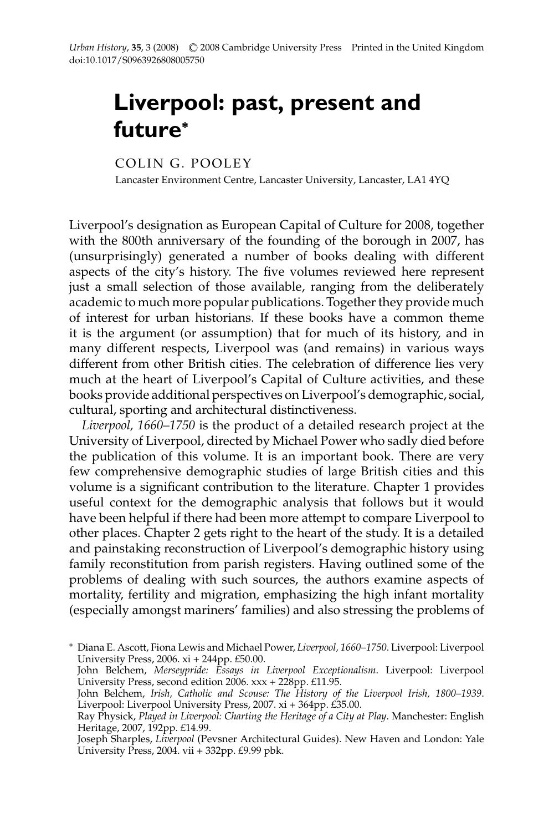## **Liverpool: past, present and future<sup>∗</sup>**

COLIN G. POOLEY

Lancaster Environment Centre, Lancaster University, Lancaster, LA1 4YQ

Liverpool's designation as European Capital of Culture for 2008, together with the 800th anniversary of the founding of the borough in 2007, has (unsurprisingly) generated a number of books dealing with different aspects of the city's history. The five volumes reviewed here represent just a small selection of those available, ranging from the deliberately academic to much more popular publications. Together they provide much of interest for urban historians. If these books have a common theme it is the argument (or assumption) that for much of its history, and in many different respects, Liverpool was (and remains) in various ways different from other British cities. The celebration of difference lies very much at the heart of Liverpool's Capital of Culture activities, and these books provide additional perspectives on Liverpool's demographic, social, cultural, sporting and architectural distinctiveness.

*Liverpool, 1660–1750* is the product of a detailed research project at the University of Liverpool, directed by Michael Power who sadly died before the publication of this volume. It is an important book. There are very few comprehensive demographic studies of large British cities and this volume is a significant contribution to the literature. Chapter 1 provides useful context for the demographic analysis that follows but it would have been helpful if there had been more attempt to compare Liverpool to other places. Chapter 2 gets right to the heart of the study. It is a detailed and painstaking reconstruction of Liverpool's demographic history using family reconstitution from parish registers. Having outlined some of the problems of dealing with such sources, the authors examine aspects of mortality, fertility and migration, emphasizing the high infant mortality (especially amongst mariners' families) and also stressing the problems of

<sup>∗</sup> Diana E. Ascott, Fiona Lewis and Michael Power, *Liverpool, 1660–1750*. Liverpool: Liverpool University Press, 2006. xi + 244pp. £50.00.

John Belchem, *Merseypride: Essays in Liverpool Exceptionalism*. Liverpool: Liverpool University Press, second edition 2006. xxx + 228pp. £11.95.

John Belchem, *Irish, Catholic and Scouse: The History of the Liverpool Irish, 1800–1939*. Liverpool: Liverpool University Press, 2007. xi + 364pp. £35.00.

Ray Physick, *Played in Liverpool: Charting the Heritage of a City at Play*. Manchester: English Heritage, 2007, 192pp. £14.99.

Joseph Sharples, *Liverpool* (Pevsner Architectural Guides). New Haven and London: Yale University Press, 2004. vii  $+$  332pp. £9.99 pbk.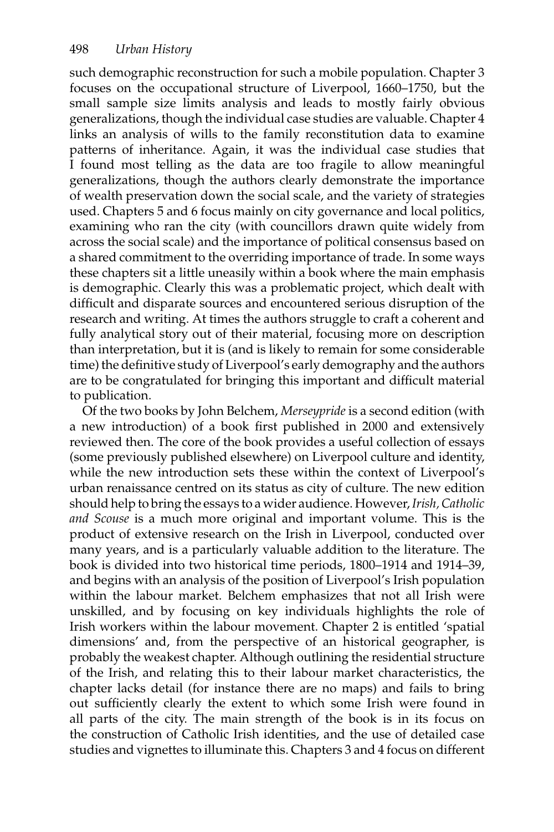such demographic reconstruction for such a mobile population. Chapter 3 focuses on the occupational structure of Liverpool, 1660–1750, but the small sample size limits analysis and leads to mostly fairly obvious generalizations, though the individual case studies are valuable. Chapter 4 links an analysis of wills to the family reconstitution data to examine patterns of inheritance. Again, it was the individual case studies that I found most telling as the data are too fragile to allow meaningful generalizations, though the authors clearly demonstrate the importance of wealth preservation down the social scale, and the variety of strategies used. Chapters 5 and 6 focus mainly on city governance and local politics, examining who ran the city (with councillors drawn quite widely from across the social scale) and the importance of political consensus based on a shared commitment to the overriding importance of trade. In some ways these chapters sit a little uneasily within a book where the main emphasis is demographic. Clearly this was a problematic project, which dealt with difficult and disparate sources and encountered serious disruption of the research and writing. At times the authors struggle to craft a coherent and fully analytical story out of their material, focusing more on description than interpretation, but it is (and is likely to remain for some considerable time) the definitive study of Liverpool's early demography and the authors are to be congratulated for bringing this important and difficult material to publication.

Of the two books by John Belchem, *Merseypride* is a second edition (with a new introduction) of a book first published in 2000 and extensively reviewed then. The core of the book provides a useful collection of essays (some previously published elsewhere) on Liverpool culture and identity, while the new introduction sets these within the context of Liverpool's urban renaissance centred on its status as city of culture. The new edition should help to bring the essays to a wider audience. However,*Irish, Catholic and Scouse* is a much more original and important volume. This is the product of extensive research on the Irish in Liverpool, conducted over many years, and is a particularly valuable addition to the literature. The book is divided into two historical time periods, 1800–1914 and 1914–39, and begins with an analysis of the position of Liverpool's Irish population within the labour market. Belchem emphasizes that not all Irish were unskilled, and by focusing on key individuals highlights the role of Irish workers within the labour movement. Chapter 2 is entitled 'spatial dimensions' and, from the perspective of an historical geographer, is probably the weakest chapter. Although outlining the residential structure of the Irish, and relating this to their labour market characteristics, the chapter lacks detail (for instance there are no maps) and fails to bring out sufficiently clearly the extent to which some Irish were found in all parts of the city. The main strength of the book is in its focus on the construction of Catholic Irish identities, and the use of detailed case studies and vignettes to illuminate this. Chapters 3 and 4 focus on different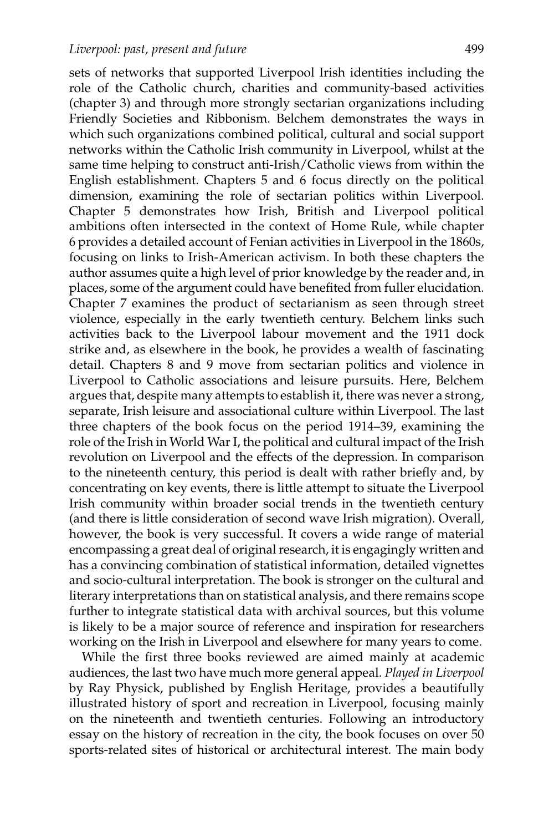sets of networks that supported Liverpool Irish identities including the role of the Catholic church, charities and community-based activities (chapter 3) and through more strongly sectarian organizations including Friendly Societies and Ribbonism. Belchem demonstrates the ways in which such organizations combined political, cultural and social support networks within the Catholic Irish community in Liverpool, whilst at the same time helping to construct anti-Irish/Catholic views from within the English establishment. Chapters 5 and 6 focus directly on the political dimension, examining the role of sectarian politics within Liverpool. Chapter 5 demonstrates how Irish, British and Liverpool political ambitions often intersected in the context of Home Rule, while chapter 6 provides a detailed account of Fenian activities in Liverpool in the 1860s, focusing on links to Irish-American activism. In both these chapters the author assumes quite a high level of prior knowledge by the reader and, in places, some of the argument could have benefited from fuller elucidation. Chapter 7 examines the product of sectarianism as seen through street violence, especially in the early twentieth century. Belchem links such activities back to the Liverpool labour movement and the 1911 dock strike and, as elsewhere in the book, he provides a wealth of fascinating detail. Chapters 8 and 9 move from sectarian politics and violence in Liverpool to Catholic associations and leisure pursuits. Here, Belchem argues that, despite many attempts to establish it, there was never a strong, separate, Irish leisure and associational culture within Liverpool. The last three chapters of the book focus on the period 1914–39, examining the role of the Irish in World War I, the political and cultural impact of the Irish revolution on Liverpool and the effects of the depression. In comparison to the nineteenth century, this period is dealt with rather briefly and, by concentrating on key events, there is little attempt to situate the Liverpool Irish community within broader social trends in the twentieth century (and there is little consideration of second wave Irish migration). Overall, however, the book is very successful. It covers a wide range of material encompassing a great deal of original research, it is engagingly written and has a convincing combination of statistical information, detailed vignettes and socio-cultural interpretation. The book is stronger on the cultural and literary interpretations than on statistical analysis, and there remains scope further to integrate statistical data with archival sources, but this volume is likely to be a major source of reference and inspiration for researchers working on the Irish in Liverpool and elsewhere for many years to come.

While the first three books reviewed are aimed mainly at academic audiences, the last two have much more general appeal. *Played in Liverpool* by Ray Physick, published by English Heritage, provides a beautifully illustrated history of sport and recreation in Liverpool, focusing mainly on the nineteenth and twentieth centuries. Following an introductory essay on the history of recreation in the city, the book focuses on over 50 sports-related sites of historical or architectural interest. The main body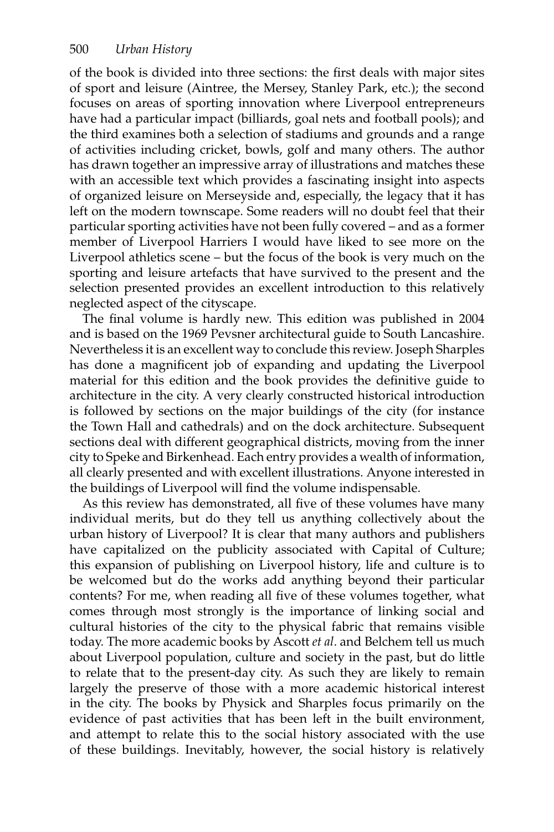of the book is divided into three sections: the first deals with major sites of sport and leisure (Aintree, the Mersey, Stanley Park, etc.); the second focuses on areas of sporting innovation where Liverpool entrepreneurs have had a particular impact (billiards, goal nets and football pools); and the third examines both a selection of stadiums and grounds and a range of activities including cricket, bowls, golf and many others. The author has drawn together an impressive array of illustrations and matches these with an accessible text which provides a fascinating insight into aspects of organized leisure on Merseyside and, especially, the legacy that it has left on the modern townscape. Some readers will no doubt feel that their particular sporting activities have not been fully covered – and as a former member of Liverpool Harriers I would have liked to see more on the Liverpool athletics scene – but the focus of the book is very much on the sporting and leisure artefacts that have survived to the present and the selection presented provides an excellent introduction to this relatively neglected aspect of the cityscape.

The final volume is hardly new. This edition was published in 2004 and is based on the 1969 Pevsner architectural guide to South Lancashire. Nevertheless it is an excellent way to conclude this review. Joseph Sharples has done a magnificent job of expanding and updating the Liverpool material for this edition and the book provides the definitive guide to architecture in the city. A very clearly constructed historical introduction is followed by sections on the major buildings of the city (for instance the Town Hall and cathedrals) and on the dock architecture. Subsequent sections deal with different geographical districts, moving from the inner city to Speke and Birkenhead. Each entry provides a wealth of information, all clearly presented and with excellent illustrations. Anyone interested in the buildings of Liverpool will find the volume indispensable.

As this review has demonstrated, all five of these volumes have many individual merits, but do they tell us anything collectively about the urban history of Liverpool? It is clear that many authors and publishers have capitalized on the publicity associated with Capital of Culture; this expansion of publishing on Liverpool history, life and culture is to be welcomed but do the works add anything beyond their particular contents? For me, when reading all five of these volumes together, what comes through most strongly is the importance of linking social and cultural histories of the city to the physical fabric that remains visible today. The more academic books by Ascott *et al*. and Belchem tell us much about Liverpool population, culture and society in the past, but do little to relate that to the present-day city. As such they are likely to remain largely the preserve of those with a more academic historical interest in the city. The books by Physick and Sharples focus primarily on the evidence of past activities that has been left in the built environment, and attempt to relate this to the social history associated with the use of these buildings. Inevitably, however, the social history is relatively